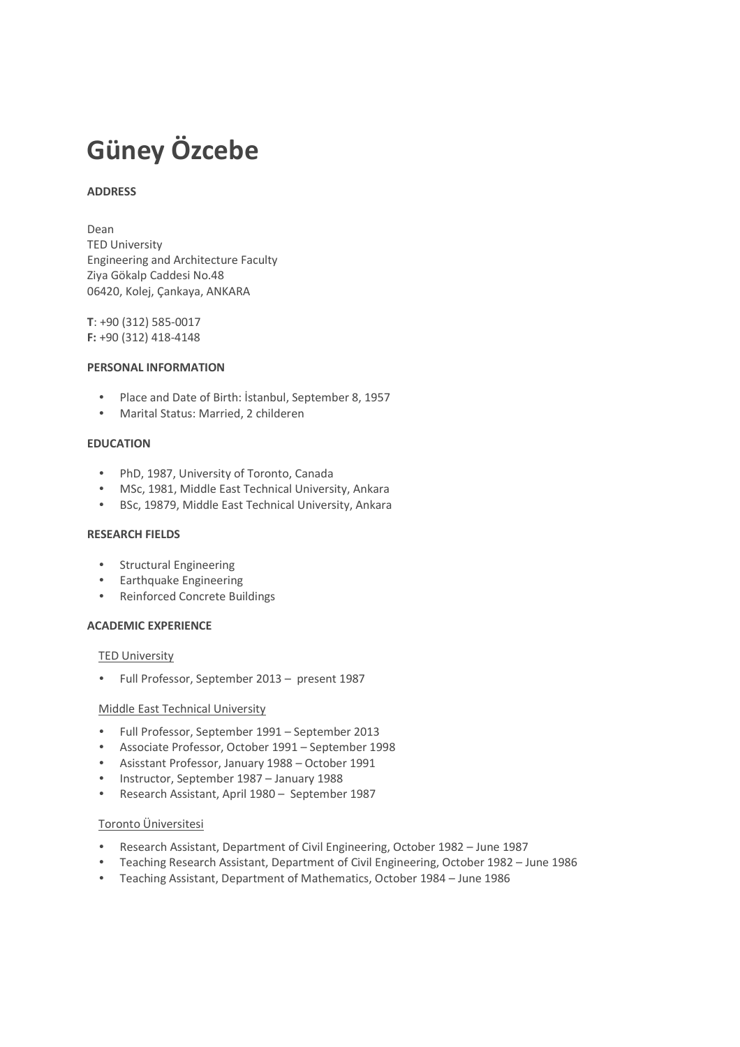# **Güney Özcebe**

#### **ADDRESS**

Dean

TED University Engineering and Architecture Faculty Ziya Gökalp Caddesi No.48 06420, Kolej, Çankaya, ANKARA

**T**: +90 (312) 585-0017 **F:** +90 (312) 418-4148

#### **PERSONAL INFORMATION**

- Place and Date of Birth: İstanbul, September 8, 1957
- Marital Status: Married, 2 childeren

#### **EDUCATION**

- PhD, 1987, University of Toronto, Canada
- MSc, 1981, Middle East Technical University, Ankara
- BSc, 19879, Middle East Technical University, Ankara

#### **RESEARCH FIELDS**

- Structural Engineering
- Earthquake Engineering
- Reinforced Concrete Buildings

#### **ACADEMIC EXPERIENCE**

#### TED University

• Full Professor, September 2013 – present 1987

#### Middle East Technical University

- Full Professor, September 1991 September 2013
- Associate Professor, October 1991 September 1998
- Asisstant Professor, January 1988 October 1991
- Instructor, September 1987 January 1988
- Research Assistant, April 1980 September 1987

#### Toronto Üniversitesi

- Research Assistant, Department of Civil Engineering, October 1982 June 1987
- Teaching Research Assistant, Department of Civil Engineering, October 1982 June 1986
- Teaching Assistant, Department of Mathematics, October 1984 June 1986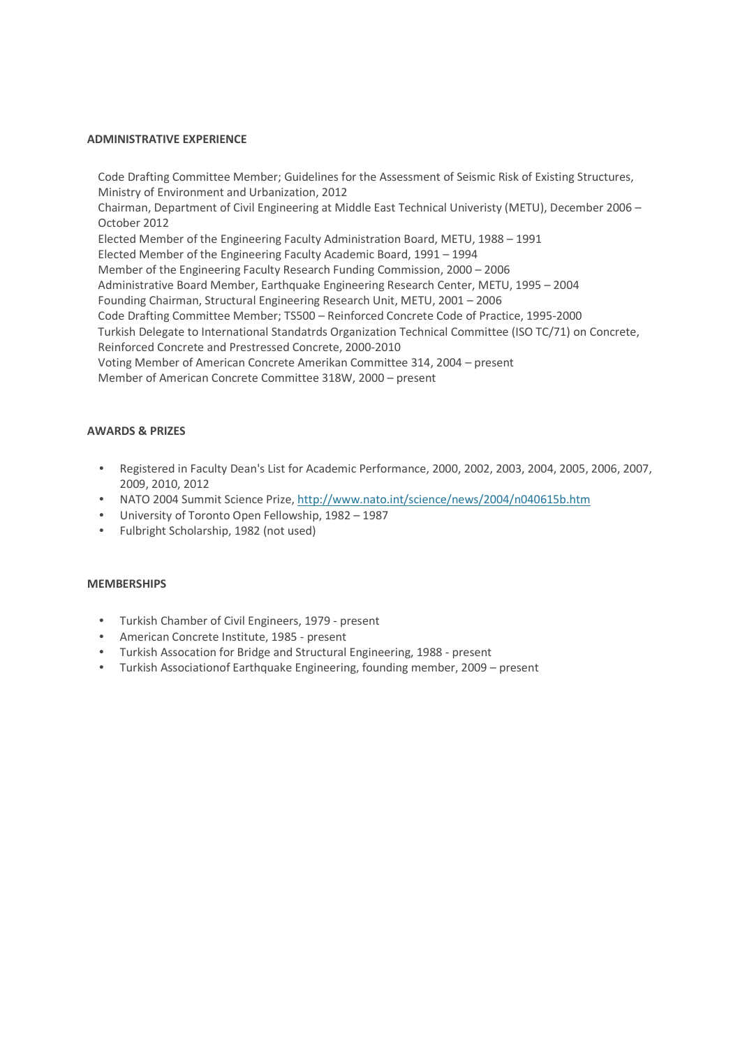#### **ADMINISTRATIVE EXPERIENCE**

Code Drafting Committee Member; Guidelines for the Assessment of Seismic Risk of Existing Structures, Ministry of Environment and Urbanization, 2012 Chairman, Department of Civil Engineering at Middle East Technical Univeristy (METU), December 2006 – October 2012 Elected Member of the Engineering Faculty Administration Board, METU, 1988 – 1991 Elected Member of the Engineering Faculty Academic Board, 1991 – 1994 Member of the Engineering Faculty Research Funding Commission, 2000 – 2006 Administrative Board Member, Earthquake Engineering Research Center, METU, 1995 – 2004 Founding Chairman, Structural Engineering Research Unit, METU, 2001 – 2006 Code Drafting Committee Member; TS500 – Reinforced Concrete Code of Practice, 1995-2000 Turkish Delegate to International Standatrds Organization Technical Committee (ISO TC/71) on Concrete, Reinforced Concrete and Prestressed Concrete, 2000-2010 Voting Member of American Concrete Amerikan Committee 314, 2004 – present Member of American Concrete Committee 318W, 2000 – present

#### **AWARDS & PRIZES**

- Registered in Faculty Dean's List for Academic Performance, 2000, 2002, 2003, 2004, 2005, 2006, 2007, 2009, 2010, 2012
- NATO 2004 Summit Science Prize, http://www.nato.int/science/news/2004/n040615b.htm
- University of Toronto Open Fellowship, 1982 1987
- Fulbright Scholarship, 1982 (not used)

#### **MEMBERSHIPS**

- Turkish Chamber of Civil Engineers, 1979 present
- American Concrete Institute, 1985 present
- Turkish Assocation for Bridge and Structural Engineering, 1988 present
- Turkish Associationof Earthquake Engineering, founding member, 2009 present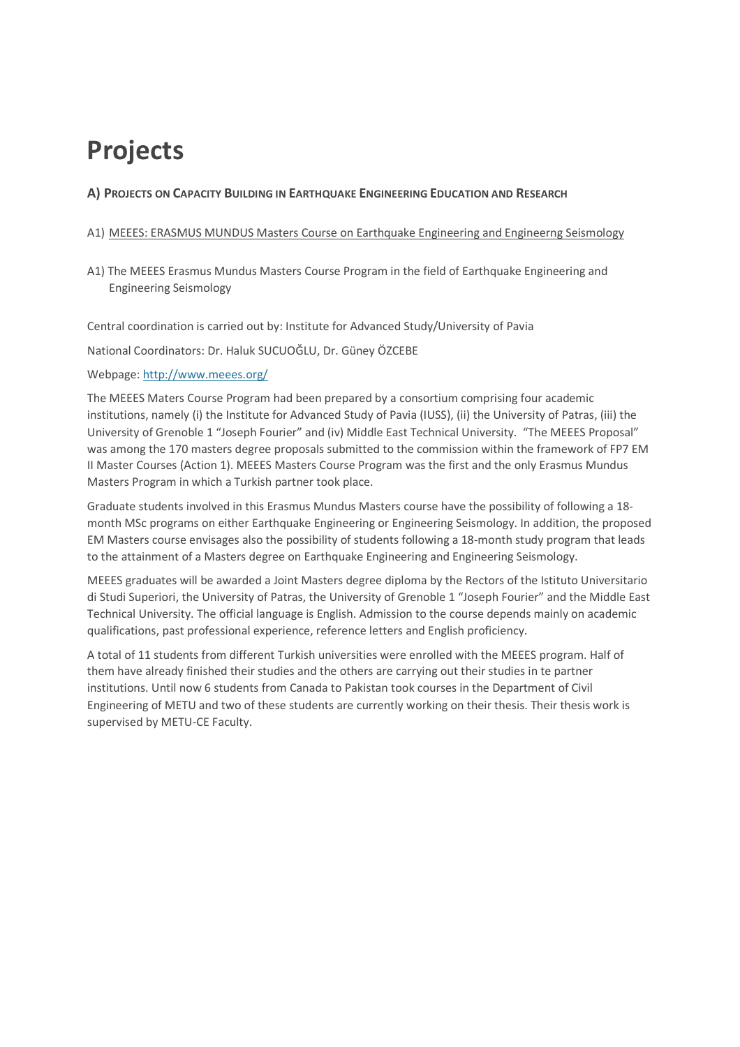## **Projects**

## **A) PROJECTS ON CAPACITY BUILDING IN EARTHQUAKE ENGINEERING EDUCATION AND RESEARCH**

### A1) MEEES: ERASMUS MUNDUS Masters Course on Earthquake Engineering and Engineerng Seismology

A1) The MEEES Erasmus Mundus Masters Course Program in the field of Earthquake Engineering and Engineering Seismology

Central coordination is carried out by: Institute for Advanced Study/University of Pavia

National Coordinators: Dr. Haluk SUCUOĞLU, Dr. Güney ÖZCEBE

Webpage: http://www.meees.org/

The MEEES Maters Course Program had been prepared by a consortium comprising four academic institutions, namely (i) the Institute for Advanced Study of Pavia (IUSS), (ii) the University of Patras, (iii) the University of Grenoble 1 "Joseph Fourier" and (iv) Middle East Technical University. "The MEEES Proposal" was among the 170 masters degree proposals submitted to the commission within the framework of FP7 EM II Master Courses (Action 1). MEEES Masters Course Program was the first and the only Erasmus Mundus Masters Program in which a Turkish partner took place.

Graduate students involved in this Erasmus Mundus Masters course have the possibility of following a 18 month MSc programs on either Earthquake Engineering or Engineering Seismology. In addition, the proposed EM Masters course envisages also the possibility of students following a 18-month study program that leads to the attainment of a Masters degree on Earthquake Engineering and Engineering Seismology.

MEEES graduates will be awarded a Joint Masters degree diploma by the Rectors of the Istituto Universitario di Studi Superiori, the University of Patras, the University of Grenoble 1 "Joseph Fourier" and the Middle East Technical University. The official language is English. Admission to the course depends mainly on academic qualifications, past professional experience, reference letters and English proficiency.

A total of 11 students from different Turkish universities were enrolled with the MEEES program. Half of them have already finished their studies and the others are carrying out their studies in te partner institutions. Until now 6 students from Canada to Pakistan took courses in the Department of Civil Engineering of METU and two of these students are currently working on their thesis. Their thesis work is supervised by METU-CE Faculty.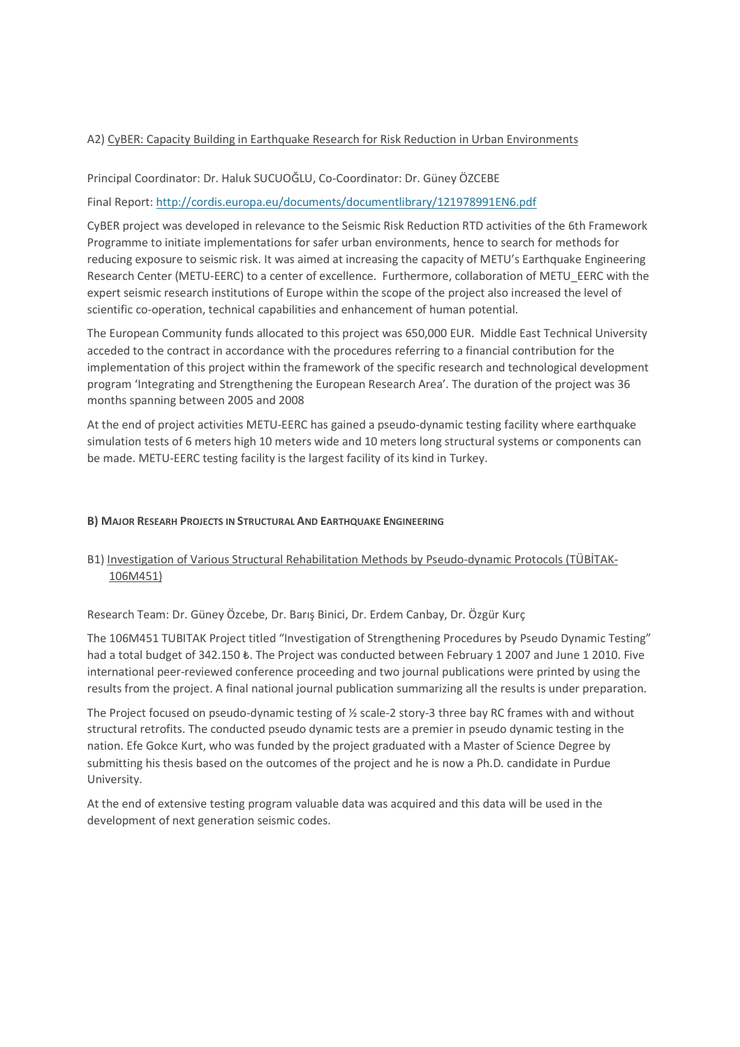#### A2) CyBER: Capacity Building in Earthquake Research for Risk Reduction in Urban Environments

#### Principal Coordinator: Dr. Haluk SUCUOĞLU, Co-Coordinator: Dr. Güney ÖZCEBE

Final Report: http://cordis.europa.eu/documents/documentlibrary/121978991EN6.pdf

CyBER project was developed in relevance to the Seismic Risk Reduction RTD activities of the 6th Framework Programme to initiate implementations for safer urban environments, hence to search for methods for reducing exposure to seismic risk. It was aimed at increasing the capacity of METU's Earthquake Engineering Research Center (METU-EERC) to a center of excellence. Furthermore, collaboration of METU\_EERC with the expert seismic research institutions of Europe within the scope of the project also increased the level of scientific co-operation, technical capabilities and enhancement of human potential.

The European Community funds allocated to this project was 650,000 EUR. Middle East Technical University acceded to the contract in accordance with the procedures referring to a financial contribution for the implementation of this project within the framework of the specific research and technological development program 'Integrating and Strengthening the European Research Area'. The duration of the project was 36 months spanning between 2005 and 2008

At the end of project activities METU-EERC has gained a pseudo-dynamic testing facility where earthquake simulation tests of 6 meters high 10 meters wide and 10 meters long structural systems or components can be made. METU-EERC testing facility is the largest facility of its kind in Turkey.

#### **B) MAJOR RESEARH PROJECTS IN STRUCTURAL AND EARTHQUAKE ENGINEERING**

## B1) Investigation of Various Structural Rehabilitation Methods by Pseudo-dynamic Protocols (TÜBİTAK-106M451)

Research Team: Dr. Güney Özcebe, Dr. Barış Binici, Dr. Erdem Canbay, Dr. Özgür Kurç

The 106M451 TUBITAK Project titled "Investigation of Strengthening Procedures by Pseudo Dynamic Testing" had a total budget of 342.150  $\&$ . The Project was conducted between February 1 2007 and June 1 2010. Five international peer-reviewed conference proceeding and two journal publications were printed by using the results from the project. A final national journal publication summarizing all the results is under preparation.

The Project focused on pseudo-dynamic testing of ½ scale-2 story-3 three bay RC frames with and without structural retrofits. The conducted pseudo dynamic tests are a premier in pseudo dynamic testing in the nation. Efe Gokce Kurt, who was funded by the project graduated with a Master of Science Degree by submitting his thesis based on the outcomes of the project and he is now a Ph.D. candidate in Purdue University.

At the end of extensive testing program valuable data was acquired and this data will be used in the development of next generation seismic codes.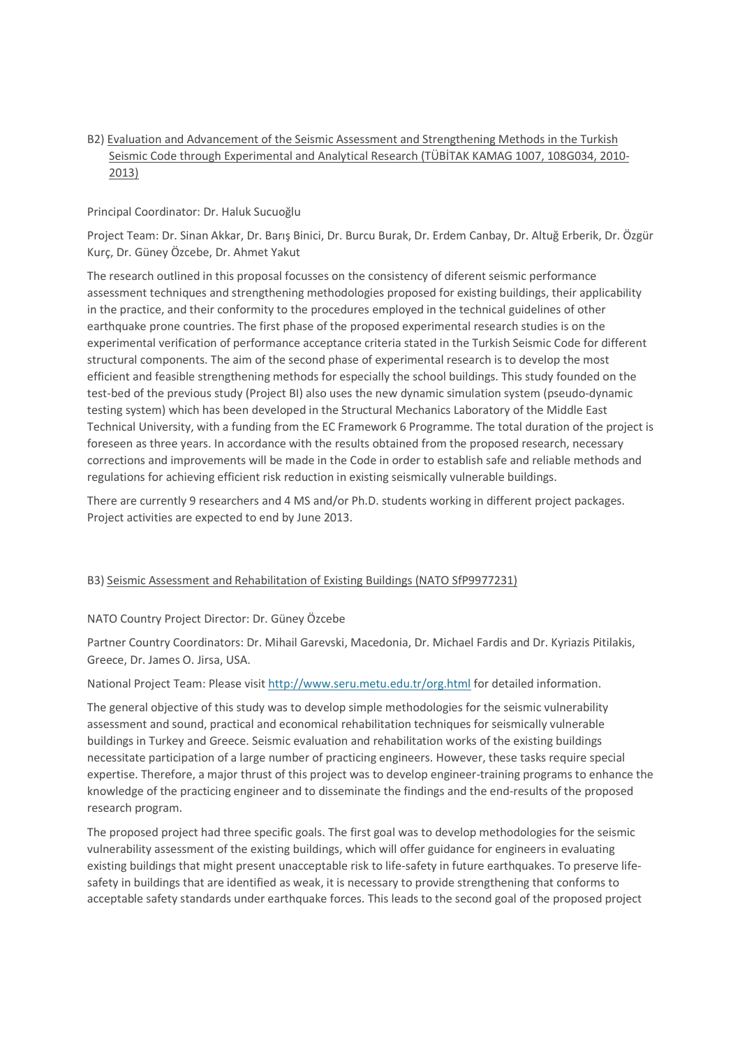## B2) Evaluation and Advancement of the Seismic Assessment and Strengthening Methods in the Turkish Seismic Code through Experimental and Analytical Research (TÜBİTAK KAMAG 1007, 108G034, 2010- 2013)

#### Principal Coordinator: Dr. Haluk Sucuoğlu

Project Team: Dr. Sinan Akkar, Dr. Barış Binici, Dr. Burcu Burak, Dr. Erdem Canbay, Dr. Altuğ Erberik, Dr. Özgür Kurç, Dr. Güney Özcebe, Dr. Ahmet Yakut

The research outlined in this proposal focusses on the consistency of diferent seismic performance assessment techniques and strengthening methodologies proposed for existing buildings, their applicability in the practice, and their conformity to the procedures employed in the technical guidelines of other earthquake prone countries. The first phase of the proposed experimental research studies is on the experimental verification of performance acceptance criteria stated in the Turkish Seismic Code for different structural components. The aim of the second phase of experimental research is to develop the most efficient and feasible strengthening methods for especially the school buildings. This study founded on the test-bed of the previous study (Project BI) also uses the new dynamic simulation system (pseudo-dynamic testing system) which has been developed in the Structural Mechanics Laboratory of the Middle East Technical University, with a funding from the EC Framework 6 Programme. The total duration of the project is foreseen as three years. In accordance with the results obtained from the proposed research, necessary corrections and improvements will be made in the Code in order to establish safe and reliable methods and regulations for achieving efficient risk reduction in existing seismically vulnerable buildings.

There are currently 9 researchers and 4 MS and/or Ph.D. students working in different project packages. Project activities are expected to end by June 2013.

#### B3) Seismic Assessment and Rehabilitation of Existing Buildings (NATO SfP9977231)

#### NATO Country Project Director: Dr. Güney Özcebe

Partner Country Coordinators: Dr. Mihail Garevski, Macedonia, Dr. Michael Fardis and Dr. Kyriazis Pitilakis, Greece, Dr. James O. Jirsa, USA.

National Project Team: Please visit http://www.seru.metu.edu.tr/org.html for detailed information.

The general objective of this study was to develop simple methodologies for the seismic vulnerability assessment and sound, practical and economical rehabilitation techniques for seismically vulnerable buildings in Turkey and Greece. Seismic evaluation and rehabilitation works of the existing buildings necessitate participation of a large number of practicing engineers. However, these tasks require special expertise. Therefore, a major thrust of this project was to develop engineer-training programs to enhance the knowledge of the practicing engineer and to disseminate the findings and the end-results of the proposed research program.

The proposed project had three specific goals. The first goal was to develop methodologies for the seismic vulnerability assessment of the existing buildings, which will offer guidance for engineers in evaluating existing buildings that might present unacceptable risk to life-safety in future earthquakes. To preserve lifesafety in buildings that are identified as weak, it is necessary to provide strengthening that conforms to acceptable safety standards under earthquake forces. This leads to the second goal of the proposed project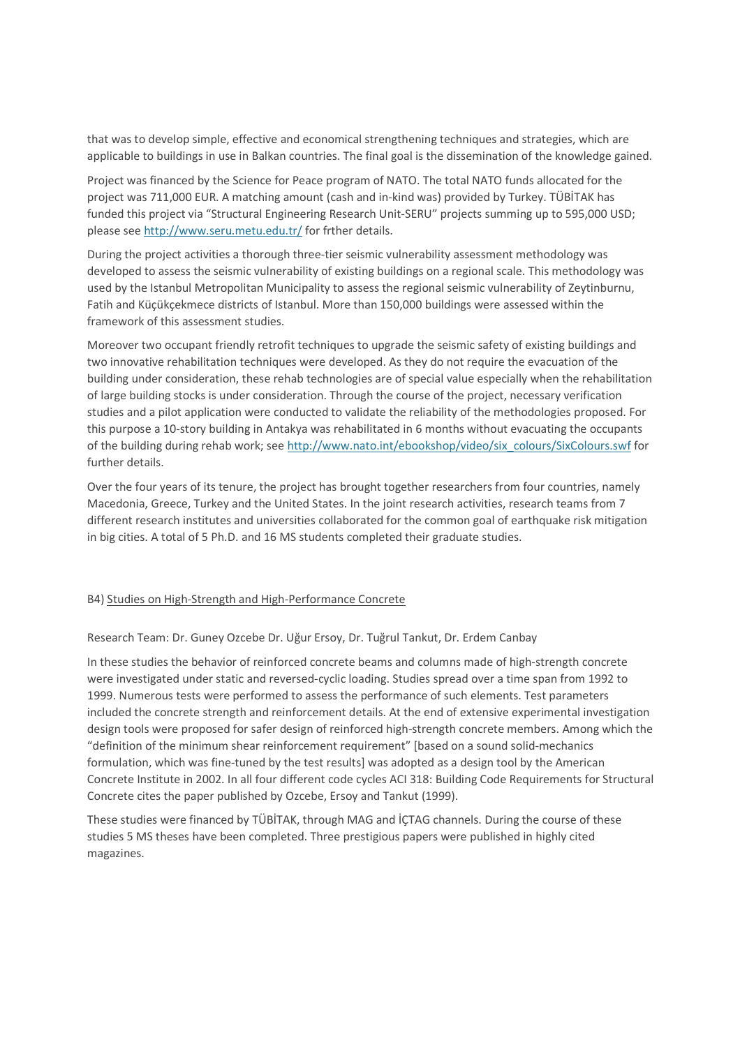that was to develop simple, effective and economical strengthening techniques and strategies, which are applicable to buildings in use in Balkan countries. The final goal is the dissemination of the knowledge gained.

Project was financed by the Science for Peace program of NATO. The total NATO funds allocated for the project was 711,000 EUR. A matching amount (cash and in-kind was) provided by Turkey. TÜBİTAK has funded this project via "Structural Engineering Research Unit-SERU" projects summing up to 595,000 USD; please see http://www.seru.metu.edu.tr/ for frther details.

During the project activities a thorough three-tier seismic vulnerability assessment methodology was developed to assess the seismic vulnerability of existing buildings on a regional scale. This methodology was used by the Istanbul Metropolitan Municipality to assess the regional seismic vulnerability of Zeytinburnu, Fatih and Küçükçekmece districts of Istanbul. More than 150,000 buildings were assessed within the framework of this assessment studies.

Moreover two occupant friendly retrofit techniques to upgrade the seismic safety of existing buildings and two innovative rehabilitation techniques were developed. As they do not require the evacuation of the building under consideration, these rehab technologies are of special value especially when the rehabilitation of large building stocks is under consideration. Through the course of the project, necessary verification studies and a pilot application were conducted to validate the reliability of the methodologies proposed. For this purpose a 10-story building in Antakya was rehabilitated in 6 months without evacuating the occupants of the building during rehab work; see http://www.nato.int/ebookshop/video/six\_colours/SixColours.swf for further details.

Over the four years of its tenure, the project has brought together researchers from four countries, namely Macedonia, Greece, Turkey and the United States. In the joint research activities, research teams from 7 different research institutes and universities collaborated for the common goal of earthquake risk mitigation in big cities. A total of 5 Ph.D. and 16 MS students completed their graduate studies.

#### B4) Studies on High-Strength and High-Performance Concrete

Research Team: Dr. Guney Ozcebe Dr. Uğur Ersoy, Dr. Tuğrul Tankut, Dr. Erdem Canbay

In these studies the behavior of reinforced concrete beams and columns made of high-strength concrete were investigated under static and reversed-cyclic loading. Studies spread over a time span from 1992 to 1999. Numerous tests were performed to assess the performance of such elements. Test parameters included the concrete strength and reinforcement details. At the end of extensive experimental investigation design tools were proposed for safer design of reinforced high-strength concrete members. Among which the "definition of the minimum shear reinforcement requirement" [based on a sound solid-mechanics formulation, which was fine-tuned by the test results] was adopted as a design tool by the American Concrete Institute in 2002. In all four different code cycles ACI 318: Building Code Requirements for Structural Concrete cites the paper published by Ozcebe, Ersoy and Tankut (1999).

These studies were financed by TÜBİTAK, through MAG and İÇTAG channels. During the course of these studies 5 MS theses have been completed. Three prestigious papers were published in highly cited magazines.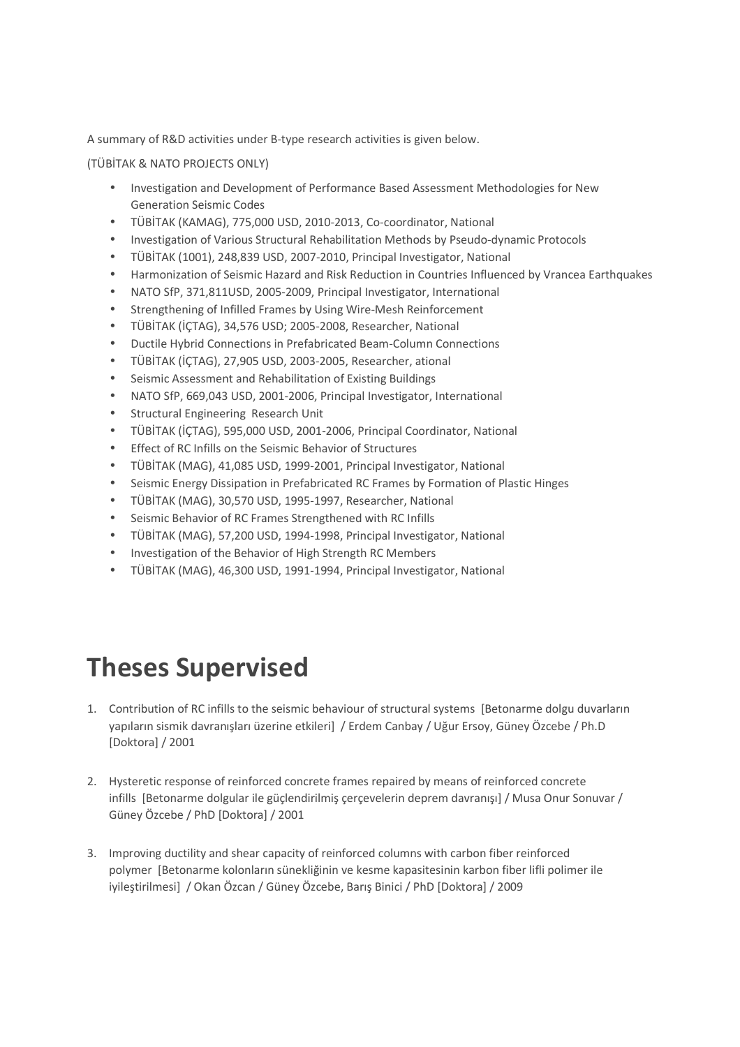A summary of R&D activities under B-type research activities is given below.

(TÜBİTAK & NATO PROJECTS ONLY)

- Investigation and Development of Performance Based Assessment Methodologies for New Generation Seismic Codes
- TÜBİTAK (KAMAG), 775,000 USD, 2010-2013, Co-coordinator, National
- Investigation of Various Structural Rehabilitation Methods by Pseudo-dynamic Protocols
- TÜBİTAK (1001), 248,839 USD, 2007-2010, Principal Investigator, National
- Harmonization of Seismic Hazard and Risk Reduction in Countries Influenced by Vrancea Earthquakes
- NATO SfP, 371,811USD, 2005-2009, Principal Investigator, International
- Strengthening of Infilled Frames by Using Wire-Mesh Reinforcement
- TÜBİTAK (İÇTAG), 34,576 USD; 2005-2008, Researcher, National
- Ductile Hybrid Connections in Prefabricated Beam-Column Connections
- TÜBİTAK (İÇTAG), 27,905 USD, 2003-2005, Researcher, ational
- Seismic Assessment and Rehabilitation of Existing Buildings
- NATO SfP, 669,043 USD, 2001-2006, Principal Investigator, International
- Structural Engineering Research Unit
- TÜBİTAK (İÇTAG), 595,000 USD, 2001-2006, Principal Coordinator, National
- Effect of RC Infills on the Seismic Behavior of Structures
- TÜBİTAK (MAG), 41,085 USD, 1999-2001, Principal Investigator, National
- Seismic Energy Dissipation in Prefabricated RC Frames by Formation of Plastic Hinges
- TÜBİTAK (MAG), 30,570 USD, 1995-1997, Researcher, National
- Seismic Behavior of RC Frames Strengthened with RC Infills
- TÜBİTAK (MAG), 57,200 USD, 1994-1998, Principal Investigator, National
- Investigation of the Behavior of High Strength RC Members
- TÜBİTAK (MAG), 46,300 USD, 1991-1994, Principal Investigator, National

## **Theses Supervised**

- 1. Contribution of RC infills to the seismic behaviour of structural systems [Betonarme dolgu duvarların yapıların sismik davranışları üzerine etkileri] / Erdem Canbay / Uğur Ersoy, Güney Özcebe / Ph.D [Doktora] / 2001
- 2. Hysteretic response of reinforced concrete frames repaired by means of reinforced concrete infills [Betonarme dolgular ile güçlendirilmiş çerçevelerin deprem davranışı] / Musa Onur Sonuvar / Güney Özcebe / PhD [Doktora] / 2001
- 3. Improving ductility and shear capacity of reinforced columns with carbon fiber reinforced polymer [Betonarme kolonların sünekliğinin ve kesme kapasitesinin karbon fiber lifli polimer ile iyileştirilmesi] / Okan Özcan / Güney Özcebe, Barış Binici / PhD [Doktora] / 2009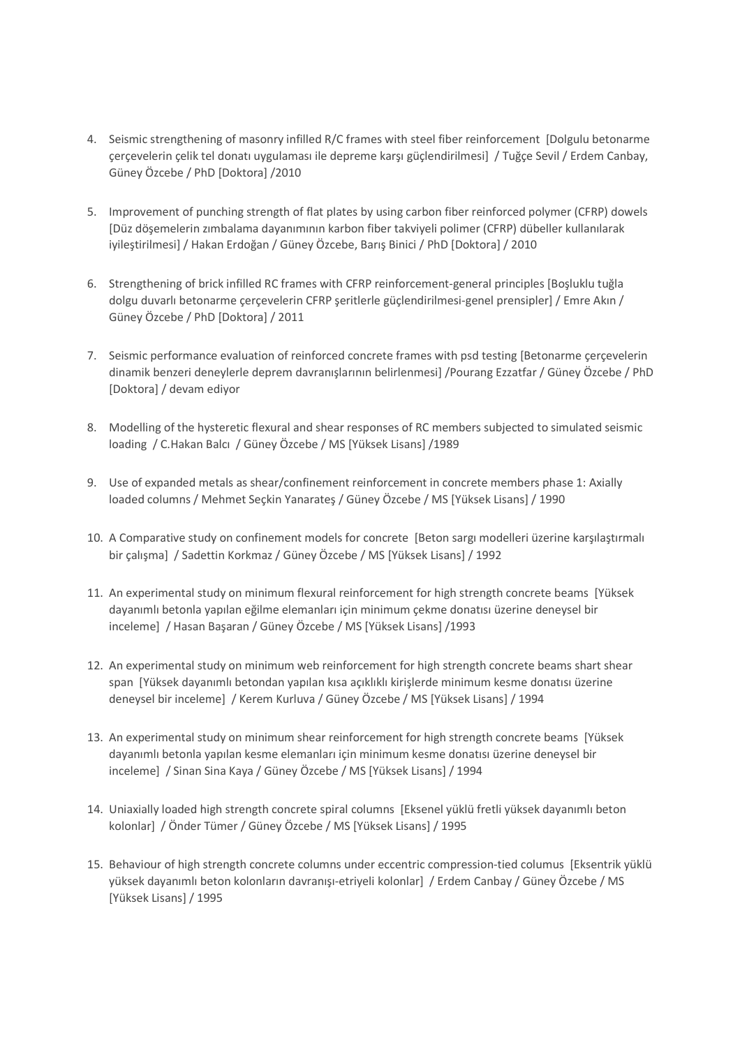- 4. Seismic strengthening of masonry infilled R/C frames with steel fiber reinforcement [Dolgulu betonarme çerçevelerin çelik tel donatı uygulaması ile depreme karşı güçlendirilmesi] / Tuğçe Sevil / Erdem Canbay, Güney Özcebe / PhD [Doktora] /2010
- 5. Improvement of punching strength of flat plates by using carbon fiber reinforced polymer (CFRP) dowels [Düz döşemelerin zımbalama dayanımının karbon fiber takviyeli polimer (CFRP) dübeller kullanılarak iyileştirilmesi] / Hakan Erdoğan / Güney Özcebe, Barış Binici / PhD [Doktora] / 2010
- 6. Strengthening of brick infilled RC frames with CFRP reinforcement-general principles [Boşluklu tuğla dolgu duvarlı betonarme çerçevelerin CFRP şeritlerle güçlendirilmesi-genel prensipler] / Emre Akın / Güney Özcebe / PhD [Doktora] / 2011
- 7. Seismic performance evaluation of reinforced concrete frames with psd testing [Betonarme çerçevelerin dinamik benzeri deneylerle deprem davranışlarının belirlenmesi] /Pourang Ezzatfar / Güney Özcebe / PhD [Doktora] / devam ediyor
- 8. Modelling of the hysteretic flexural and shear responses of RC members subjected to simulated seismic loading / C.Hakan Balcı / Güney Özcebe / MS [Yüksek Lisans] /1989
- 9. Use of expanded metals as shear/confinement reinforcement in concrete members phase 1: Axially loaded columns / Mehmet Seçkin Yanarateş / Güney Özcebe / MS [Yüksek Lisans] / 1990
- 10. A Comparative study on confinement models for concrete [Beton sargı modelleri üzerine karşılaştırmalı bir çalışma] / Sadettin Korkmaz / Güney Özcebe / MS [Yüksek Lisans] / 1992
- 11. An experimental study on minimum flexural reinforcement for high strength concrete beams [Yüksek dayanımlı betonla yapılan eğilme elemanları için minimum çekme donatısı üzerine deneysel bir inceleme] / Hasan Başaran / Güney Özcebe / MS [Yüksek Lisans] /1993
- 12. An experimental study on minimum web reinforcement for high strength concrete beams shart shear span [Yüksek dayanımlı betondan yapılan kısa açıklıklı kirişlerde minimum kesme donatısı üzerine deneysel bir inceleme] / Kerem Kurluva / Güney Özcebe / MS [Yüksek Lisans] / 1994
- 13. An experimental study on minimum shear reinforcement for high strength concrete beams [Yüksek dayanımlı betonla yapılan kesme elemanları için minimum kesme donatısı üzerine deneysel bir inceleme] / Sinan Sina Kaya / Güney Özcebe / MS [Yüksek Lisans] / 1994
- 14. Uniaxially loaded high strength concrete spiral columns [Eksenel yüklü fretli yüksek dayanımlı beton kolonlar] / Önder Tümer / Güney Özcebe / MS [Yüksek Lisans] / 1995
- 15. Behaviour of high strength concrete columns under eccentric compression-tied columus [Eksentrik yüklü yüksek dayanımlı beton kolonların davranışı-etriyeli kolonlar] / Erdem Canbay / Güney Özcebe / MS [Yüksek Lisans] / 1995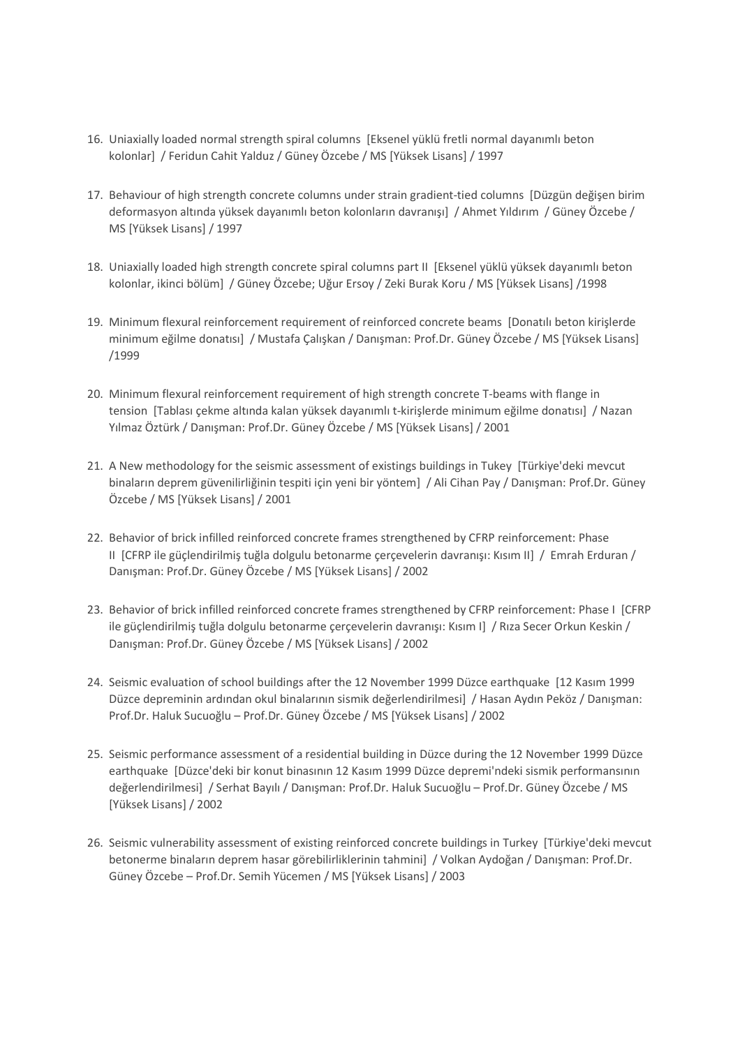- 16. Uniaxially loaded normal strength spiral columns [Eksenel yüklü fretli normal dayanımlı beton kolonlar] / Feridun Cahit Yalduz / Güney Özcebe / MS [Yüksek Lisans] / 1997
- 17. Behaviour of high strength concrete columns under strain gradient-tied columns [Düzgün değişen birim deformasyon altında yüksek dayanımlı beton kolonların davranışı] / Ahmet Yıldırım / Güney Özcebe / MS [Yüksek Lisans] / 1997
- 18. Uniaxially loaded high strength concrete spiral columns part II [Eksenel yüklü yüksek dayanımlı beton kolonlar, ikinci bölüm] / Güney Özcebe; Uğur Ersoy / Zeki Burak Koru / MS [Yüksek Lisans] /1998
- 19. Minimum flexural reinforcement requirement of reinforced concrete beams [Donatılı beton kirişlerde minimum eğilme donatısı] / Mustafa Çalışkan / Danışman: Prof.Dr. Güney Özcebe / MS [Yüksek Lisans] /1999
- 20. Minimum flexural reinforcement requirement of high strength concrete T-beams with flange in tension [Tablası çekme altında kalan yüksek dayanımlı t-kirişlerde minimum eğilme donatısı] / Nazan Yılmaz Öztürk / Danışman: Prof.Dr. Güney Özcebe / MS [Yüksek Lisans] / 2001
- 21. A New methodology for the seismic assessment of existings buildings in Tukey [Türkiye'deki mevcut binaların deprem güvenilirliğinin tespiti için yeni bir yöntem] / Ali Cihan Pay / Danışman: Prof.Dr. Güney Özcebe / MS [Yüksek Lisans] / 2001
- 22. Behavior of brick infilled reinforced concrete frames strengthened by CFRP reinforcement: Phase II [CFRP ile güçlendirilmiş tuğla dolgulu betonarme çerçevelerin davranışı: Kısım II] / Emrah Erduran / Danışman: Prof.Dr. Güney Özcebe / MS [Yüksek Lisans] / 2002
- 23. Behavior of brick infilled reinforced concrete frames strengthened by CFRP reinforcement: Phase I [CFRP ile güçlendirilmiş tuğla dolgulu betonarme çerçevelerin davranışı: Kısım I] / Rıza Secer Orkun Keskin / Danışman: Prof.Dr. Güney Özcebe / MS [Yüksek Lisans] / 2002
- 24. Seismic evaluation of school buildings after the 12 November 1999 Düzce earthquake [12 Kasım 1999 Düzce depreminin ardından okul binalarının sismik değerlendirilmesi] / Hasan Aydın Peköz / Danışman: Prof.Dr. Haluk Sucuoğlu – Prof.Dr. Güney Özcebe / MS [Yüksek Lisans] / 2002
- 25. Seismic performance assessment of a residential building in Düzce during the 12 November 1999 Düzce earthquake [Düzce'deki bir konut binasının 12 Kasım 1999 Düzce depremi'ndeki sismik performansının değerlendirilmesi] / Serhat Bayılı / Danışman: Prof.Dr. Haluk Sucuoğlu – Prof.Dr. Güney Özcebe / MS [Yüksek Lisans] / 2002
- 26. Seismic vulnerability assessment of existing reinforced concrete buildings in Turkey [Türkiye'deki mevcut betonerme binaların deprem hasar görebilirliklerinin tahmini] / Volkan Aydoğan / Danışman: Prof.Dr. Güney Özcebe – Prof.Dr. Semih Yücemen / MS [Yüksek Lisans] / 2003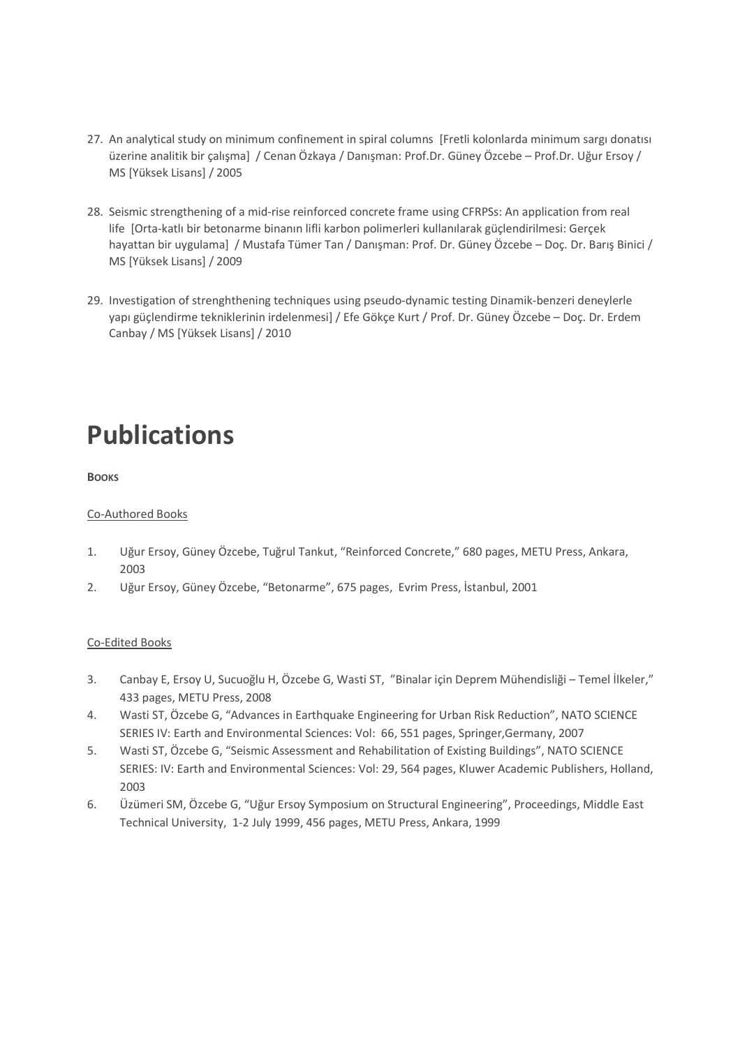- 27. An analytical study on minimum confinement in spiral columns [Fretli kolonlarda minimum sargı donatısı üzerine analitik bir çalışma] / Cenan Özkaya / Danışman: Prof.Dr. Güney Özcebe – Prof.Dr. Uğur Ersoy / MS [Yüksek Lisans] / 2005
- 28. Seismic strengthening of a mid-rise reinforced concrete frame using CFRPSs: An application from real life [Orta-katlı bir betonarme binanın lifli karbon polimerleri kullanılarak güçlendirilmesi: Gerçek hayattan bir uygulama] / Mustafa Tümer Tan / Danışman: Prof. Dr. Güney Özcebe – Doç. Dr. Barış Binici / MS [Yüksek Lisans] / 2009
- 29. Investigation of strenghthening techniques using pseudo-dynamic testing Dinamik-benzeri deneylerle yapı güçlendirme tekniklerinin irdelenmesi] / Efe Gökçe Kurt / Prof. Dr. Güney Özcebe – Doç. Dr. Erdem Canbay / MS [Yüksek Lisans] / 2010

## **Publications**

**BOOKS**

## Co-Authored Books

- 1. Uğur Ersoy, Güney Özcebe, Tuğrul Tankut, "Reinforced Concrete," 680 pages, METU Press, Ankara, 2003
- 2. Uğur Ersoy, Güney Özcebe, "Betonarme", 675 pages, Evrim Press, İstanbul, 2001

## Co-Edited Books

- 3. Canbay E, Ersoy U, Sucuoğlu H, Özcebe G, Wasti ST, "Binalar için Deprem Mühendisliği Temel İlkeler," 433 pages, METU Press, 2008
- 4. Wasti ST, Özcebe G, "Advances in Earthquake Engineering for Urban Risk Reduction", NATO SCIENCE SERIES IV: Earth and Environmental Sciences: Vol: 66, 551 pages, Springer,Germany, 2007
- 5. Wasti ST, Özcebe G, "Seismic Assessment and Rehabilitation of Existing Buildings", NATO SCIENCE SERIES: IV: Earth and Environmental Sciences: Vol: 29, 564 pages, Kluwer Academic Publishers, Holland, 2003
- 6. Üzümeri SM, Özcebe G, "Uğur Ersoy Symposium on Structural Engineering", Proceedings, Middle East Technical University, 1-2 July 1999, 456 pages, METU Press, Ankara, 1999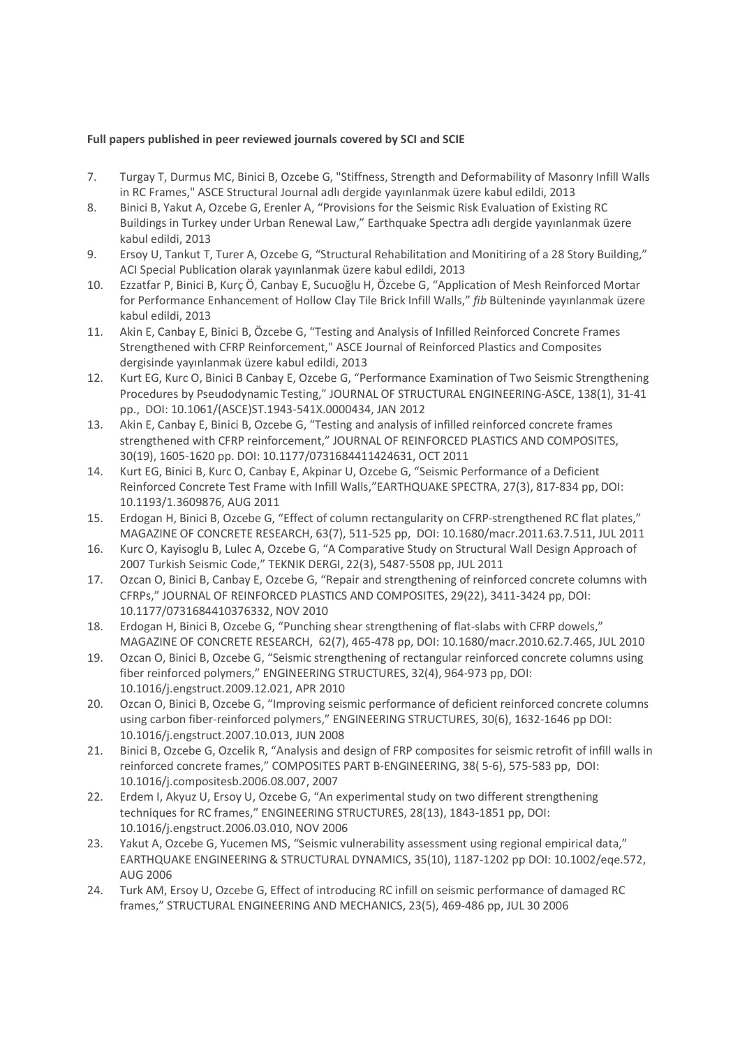#### **Full papers published in peer reviewed journals covered by SCI and SCIE**

- 7. Turgay T, Durmus MC, Binici B, Ozcebe G, "Stiffness, Strength and Deformability of Masonry Infill Walls in RC Frames," ASCE Structural Journal adlı dergide yayınlanmak üzere kabul edildi, 2013
- 8. Binici B, Yakut A, Ozcebe G, Erenler A, "Provisions for the Seismic Risk Evaluation of Existing RC Buildings in Turkey under Urban Renewal Law," Earthquake Spectra adlı dergide yayınlanmak üzere kabul edildi, 2013
- 9. Ersoy U, Tankut T, Turer A, Ozcebe G, "Structural Rehabilitation and Monitiring of a 28 Story Building," ACI Special Publication olarak yayınlanmak üzere kabul edildi, 2013
- 10. Ezzatfar P, Binici B, Kurç Ö, Canbay E, Sucuoğlu H, Özcebe G, "Application of Mesh Reinforced Mortar for Performance Enhancement of Hollow Clay Tile Brick Infill Walls," *fib* Bülteninde yayınlanmak üzere kabul edildi, 2013
- 11. Akin E, Canbay E, Binici B, Özcebe G, "Testing and Analysis of Infilled Reinforced Concrete Frames Strengthened with CFRP Reinforcement," ASCE Journal of Reinforced Plastics and Composites dergisinde yayınlanmak üzere kabul edildi, 2013
- 12. Kurt EG, Kurc O, Binici B Canbay E, Ozcebe G, "Performance Examination of Two Seismic Strengthening Procedures by Pseudodynamic Testing," JOURNAL OF STRUCTURAL ENGINEERING-ASCE, 138(1), 31-41 pp., DOI: 10.1061/(ASCE)ST.1943-541X.0000434, JAN 2012
- 13. Akin E, Canbay E, Binici B, Ozcebe G, "Testing and analysis of infilled reinforced concrete frames strengthened with CFRP reinforcement," JOURNAL OF REINFORCED PLASTICS AND COMPOSITES, 30(19), 1605-1620 pp. DOI: 10.1177/0731684411424631, OCT 2011
- 14. Kurt EG, Binici B, Kurc O, Canbay E, Akpinar U, Ozcebe G, "Seismic Performance of a Deficient Reinforced Concrete Test Frame with Infill Walls,"EARTHQUAKE SPECTRA, 27(3), 817-834 pp, DOI: 10.1193/1.3609876, AUG 2011
- 15. Erdogan H, Binici B, Ozcebe G, "Effect of column rectangularity on CFRP-strengthened RC flat plates," MAGAZINE OF CONCRETE RESEARCH, 63(7), 511-525 pp, DOI: 10.1680/macr.2011.63.7.511, JUL 2011
- 16. Kurc O, Kayisoglu B, Lulec A, Ozcebe G, "A Comparative Study on Structural Wall Design Approach of 2007 Turkish Seismic Code," TEKNIK DERGI, 22(3), 5487-5508 pp, JUL 2011
- 17. Ozcan O, Binici B, Canbay E, Ozcebe G, "Repair and strengthening of reinforced concrete columns with CFRPs," JOURNAL OF REINFORCED PLASTICS AND COMPOSITES, 29(22), 3411-3424 pp, DOI: 10.1177/0731684410376332, NOV 2010
- 18. Erdogan H, Binici B, Ozcebe G, "Punching shear strengthening of flat-slabs with CFRP dowels," MAGAZINE OF CONCRETE RESEARCH, 62(7), 465-478 pp, DOI: 10.1680/macr.2010.62.7.465, JUL 2010
- 19. Ozcan O, Binici B, Ozcebe G, "Seismic strengthening of rectangular reinforced concrete columns using fiber reinforced polymers," ENGINEERING STRUCTURES, 32(4), 964-973 pp, DOI: 10.1016/j.engstruct.2009.12.021, APR 2010
- 20. Ozcan O, Binici B, Ozcebe G, "Improving seismic performance of deficient reinforced concrete columns using carbon fiber-reinforced polymers," ENGINEERING STRUCTURES, 30(6), 1632-1646 pp DOI: 10.1016/j.engstruct.2007.10.013, JUN 2008
- 21. Binici B, Ozcebe G, Ozcelik R, "Analysis and design of FRP composites for seismic retrofit of infill walls in reinforced concrete frames," COMPOSITES PART B-ENGINEERING, 38( 5-6), 575-583 pp, DOI: 10.1016/j.compositesb.2006.08.007, 2007
- 22. Erdem I, Akyuz U, Ersoy U, Ozcebe G, "An experimental study on two different strengthening techniques for RC frames," ENGINEERING STRUCTURES, 28(13), 1843-1851 pp, DOI: 10.1016/j.engstruct.2006.03.010, NOV 2006
- 23. Yakut A, Ozcebe G, Yucemen MS, "Seismic vulnerability assessment using regional empirical data," EARTHQUAKE ENGINEERING & STRUCTURAL DYNAMICS, 35(10), 1187-1202 pp DOI: 10.1002/eqe.572, AUG 2006
- 24. Turk AM, Ersoy U, Ozcebe G, Effect of introducing RC infill on seismic performance of damaged RC frames," STRUCTURAL ENGINEERING AND MECHANICS, 23(5), 469-486 pp, JUL 30 2006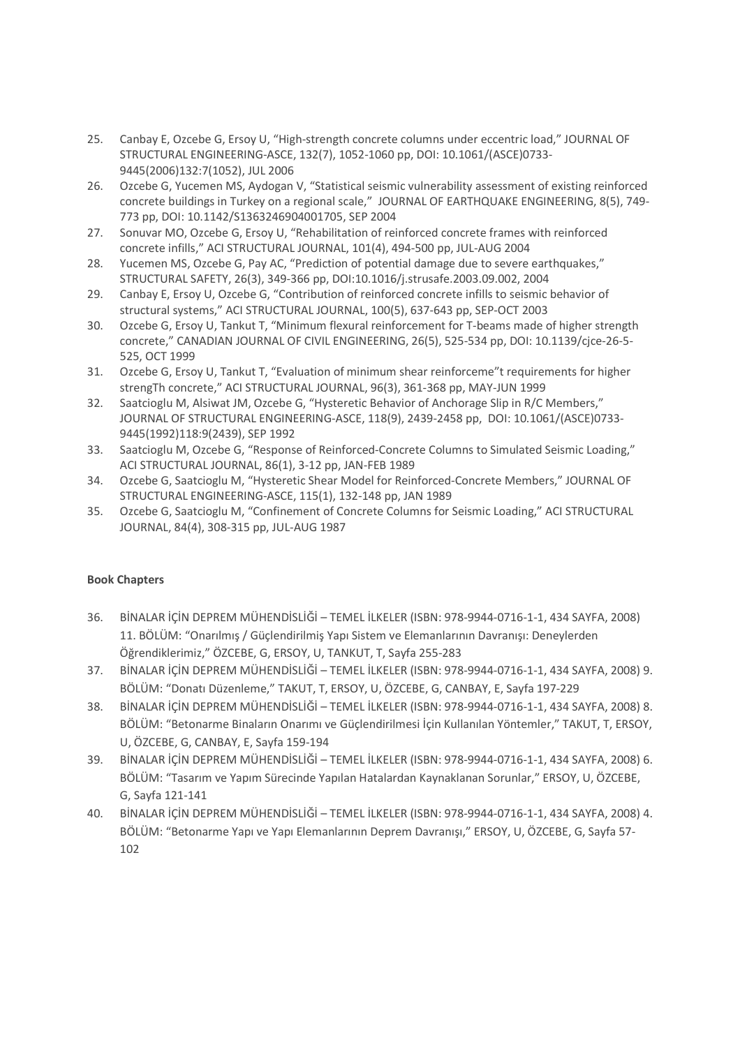- 25. Canbay E, Ozcebe G, Ersoy U, "High-strength concrete columns under eccentric load," JOURNAL OF STRUCTURAL ENGINEERING-ASCE, 132(7), 1052-1060 pp, DOI: 10.1061/(ASCE)0733- 9445(2006)132:7(1052), JUL 2006
- 26. Ozcebe G, Yucemen MS, Aydogan V, "Statistical seismic vulnerability assessment of existing reinforced concrete buildings in Turkey on a regional scale," JOURNAL OF EARTHQUAKE ENGINEERING, 8(5), 749- 773 pp, DOI: 10.1142/S1363246904001705, SEP 2004
- 27. Sonuvar MO, Ozcebe G, Ersoy U, "Rehabilitation of reinforced concrete frames with reinforced concrete infills," ACI STRUCTURAL JOURNAL, 101(4), 494-500 pp, JUL-AUG 2004
- 28. Yucemen MS, Ozcebe G, Pay AC, "Prediction of potential damage due to severe earthquakes," STRUCTURAL SAFETY, 26(3), 349-366 pp, DOI:10.1016/j.strusafe.2003.09.002, 2004
- 29. Canbay E, Ersoy U, Ozcebe G, "Contribution of reinforced concrete infills to seismic behavior of structural systems," ACI STRUCTURAL JOURNAL, 100(5), 637-643 pp, SEP-OCT 2003
- 30. Ozcebe G, Ersoy U, Tankut T, "Minimum flexural reinforcement for T-beams made of higher strength concrete," CANADIAN JOURNAL OF CIVIL ENGINEERING, 26(5), 525-534 pp, DOI: 10.1139/cjce-26-5- 525, OCT 1999
- 31. Ozcebe G, Ersoy U, Tankut T, "Evaluation of minimum shear reinforceme"t requirements for higher strengTh concrete," ACI STRUCTURAL JOURNAL, 96(3), 361-368 pp, MAY-JUN 1999
- 32. Saatcioglu M, Alsiwat JM, Ozcebe G, "Hysteretic Behavior of Anchorage Slip in R/C Members," JOURNAL OF STRUCTURAL ENGINEERING-ASCE, 118(9), 2439-2458 pp, DOI: 10.1061/(ASCE)0733- 9445(1992)118:9(2439), SEP 1992
- 33. Saatcioglu M, Ozcebe G, "Response of Reinforced-Concrete Columns to Simulated Seismic Loading," ACI STRUCTURAL JOURNAL, 86(1), 3-12 pp, JAN-FEB 1989
- 34. Ozcebe G, Saatcioglu M, "Hysteretic Shear Model for Reinforced-Concrete Members," JOURNAL OF STRUCTURAL ENGINEERING-ASCE, 115(1), 132-148 pp, JAN 1989
- 35. Ozcebe G, Saatcioglu M, "Confinement of Concrete Columns for Seismic Loading," ACI STRUCTURAL JOURNAL, 84(4), 308-315 pp, JUL-AUG 1987

### **Book Chapters**

- 36. BİNALAR İÇİN DEPREM MÜHENDİSLİĞİ TEMEL İLKELER (ISBN: 978-9944-0716-1-1, 434 SAYFA, 2008) 11. BÖLÜM: "Onarılmış / Güçlendirilmiş Yapı Sistem ve Elemanlarının Davranışı: Deneylerden Öğrendiklerimiz," ÖZCEBE, G, ERSOY, U, TANKUT, T, Sayfa 255-283
- 37. BİNALAR İÇİN DEPREM MÜHENDİSLİĞİ TEMEL İLKELER (ISBN: 978-9944-0716-1-1, 434 SAYFA, 2008) 9. BÖLÜM: "Donatı Düzenleme," TAKUT, T, ERSOY, U, ÖZCEBE, G, CANBAY, E, Sayfa 197-229
- 38. BİNALAR İÇİN DEPREM MÜHENDİSLİĞİ TEMEL İLKELER (ISBN: 978-9944-0716-1-1, 434 SAYFA, 2008) 8. BÖLÜM: "Betonarme Binaların Onarımı ve Güçlendirilmesi İçin Kullanılan Yöntemler," TAKUT, T, ERSOY, U, ÖZCEBE, G, CANBAY, E, Sayfa 159-194
- 39. BİNALAR İÇİN DEPREM MÜHENDİSLİĞİ TEMEL İLKELER (ISBN: 978-9944-0716-1-1, 434 SAYFA, 2008) 6. BÖLÜM: "Tasarım ve Yapım Sürecinde Yapılan Hatalardan Kaynaklanan Sorunlar," ERSOY, U, ÖZCEBE, G, Sayfa 121-141
- 40. BİNALAR İÇİN DEPREM MÜHENDİSLİĞİ TEMEL İLKELER (ISBN: 978-9944-0716-1-1, 434 SAYFA, 2008) 4. BÖLÜM: "Betonarme Yapı ve Yapı Elemanlarının Deprem Davranışı," ERSOY, U, ÖZCEBE, G, Sayfa 57- 102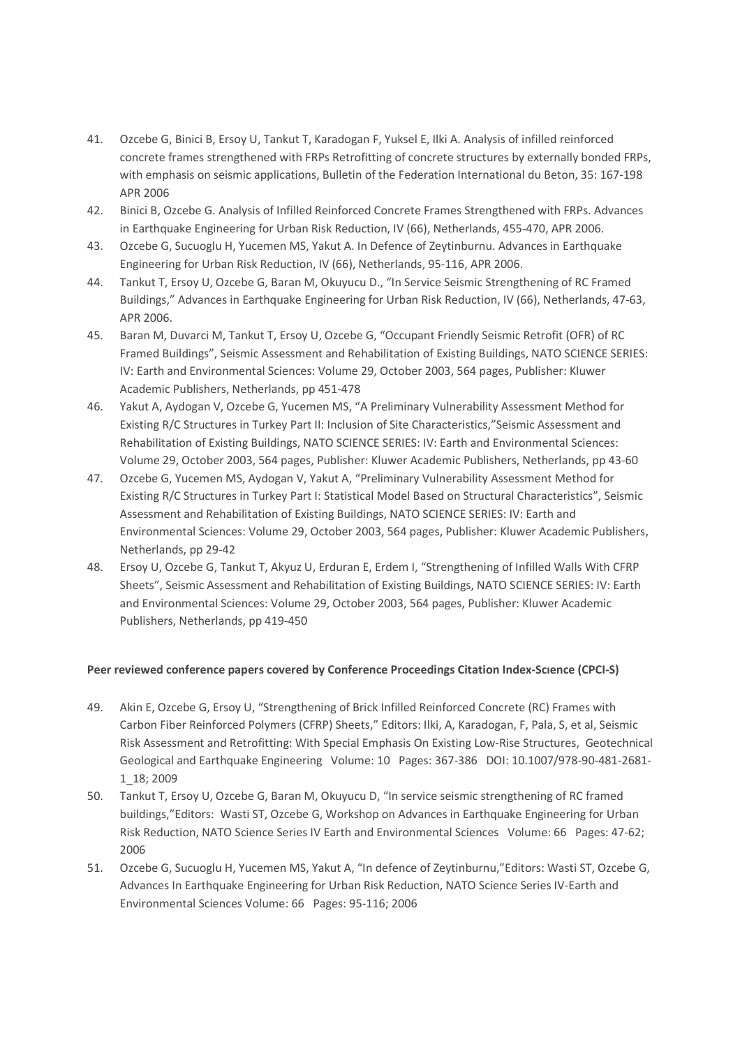- 41. Ozcebe G, Binici B, Ersoy U, Tankut T, Karadogan F, Yuksel E, Ilki A. Analysis of infilled reinforced concrete frames strengthened with FRPs Retrofitting of concrete structures by externally bonded FRPs, with emphasis on seismic applications, Bulletin of the Federation International du Beton, 35: 167-198 APR 2006
- 42. Binici B, Ozcebe G. Analysis of Infilled Reinforced Concrete Frames Strengthened with FRPs. Advances in Earthquake Engineering for Urban Risk Reduction, IV (66), Netherlands, 455-470, APR 2006.
- 43. Ozcebe G, Sucuoglu H, Yucemen MS, Yakut A. In Defence of Zeytinburnu. Advances in Earthquake Engineering for Urban Risk Reduction, IV (66), Netherlands, 95-116, APR 2006.
- 44. Tankut T, Ersoy U, Ozcebe G, Baran M, Okuyucu D., "In Service Seismic Strengthening of RC Framed Buildings," Advances in Earthquake Engineering for Urban Risk Reduction, IV (66), Netherlands, 47-63, APR 2006.
- 45. Baran M, Duvarci M, Tankut T, Ersoy U, Ozcebe G, "Occupant Friendly Seismic Retrofit (OFR) of RC Framed Buildings", Seismic Assessment and Rehabilitation of Existing Buildings, NATO SCIENCE SERIES: IV: Earth and Environmental Sciences: Volume 29, October 2003, 564 pages, Publisher: Kluwer Academic Publishers, Netherlands, pp 451-478
- 46. Yakut A, Aydogan V, Ozcebe G, Yucemen MS, "A Preliminary Vulnerability Assessment Method for Existing R/C Structures in Turkey Part II: Inclusion of Site Characteristics,"Seismic Assessment and Rehabilitation of Existing Buildings, NATO SCIENCE SERIES: IV: Earth and Environmental Sciences: Volume 29, October 2003, 564 pages, Publisher: Kluwer Academic Publishers, Netherlands, pp 43-60
- 47. Ozcebe G, Yucemen MS, Aydogan V, Yakut A, "Preliminary Vulnerability Assessment Method for Existing R/C Structures in Turkey Part I: Statistical Model Based on Structural Characteristics", Seismic Assessment and Rehabilitation of Existing Buildings, NATO SCIENCE SERIES: IV: Earth and Environmental Sciences: Volume 29, October 2003, 564 pages, Publisher: Kluwer Academic Publishers, Netherlands, pp 29-42
- 48. Ersoy U, Ozcebe G, Tankut T, Akyuz U, Erduran E, Erdem I, "Strengthening of Infilled Walls With CFRP Sheets", Seismic Assessment and Rehabilitation of Existing Buildings, NATO SCIENCE SERIES: IV: Earth and Environmental Sciences: Volume 29, October 2003, 564 pages, Publisher: Kluwer Academic Publishers, Netherlands, pp 419-450

### **Peer reviewed conference papers covered by Conference Proceedings Citation Index-Scıence (CPCI-S)**

- 49. Akin E, Ozcebe G, Ersoy U, "Strengthening of Brick Infilled Reinforced Concrete (RC) Frames with Carbon Fiber Reinforced Polymers (CFRP) Sheets," Editors: Ilki, A, Karadogan, F, Pala, S, et al, Seismic Risk Assessment and Retrofitting: With Special Emphasis On Existing Low-Rise Structures, Geotechnical Geological and Earthquake Engineering Volume: 10 Pages: 367-386 DOI: 10.1007/978-90-481-2681- 1\_18; 2009
- 50. Tankut T, Ersoy U, Ozcebe G, Baran M, Okuyucu D, "In service seismic strengthening of RC framed buildings,"Editors: Wasti ST, Ozcebe G, Workshop on Advances in Earthquake Engineering for Urban Risk Reduction, NATO Science Series IV Earth and Environmental Sciences Volume: 66 Pages: 47-62; 2006
- 51. Ozcebe G, Sucuoglu H, Yucemen MS, Yakut A, "In defence of Zeytinburnu,"Editors: Wasti ST, Ozcebe G, Advances In Earthquake Engineering for Urban Risk Reduction, NATO Science Series IV-Earth and Environmental Sciences Volume: 66 Pages: 95-116; 2006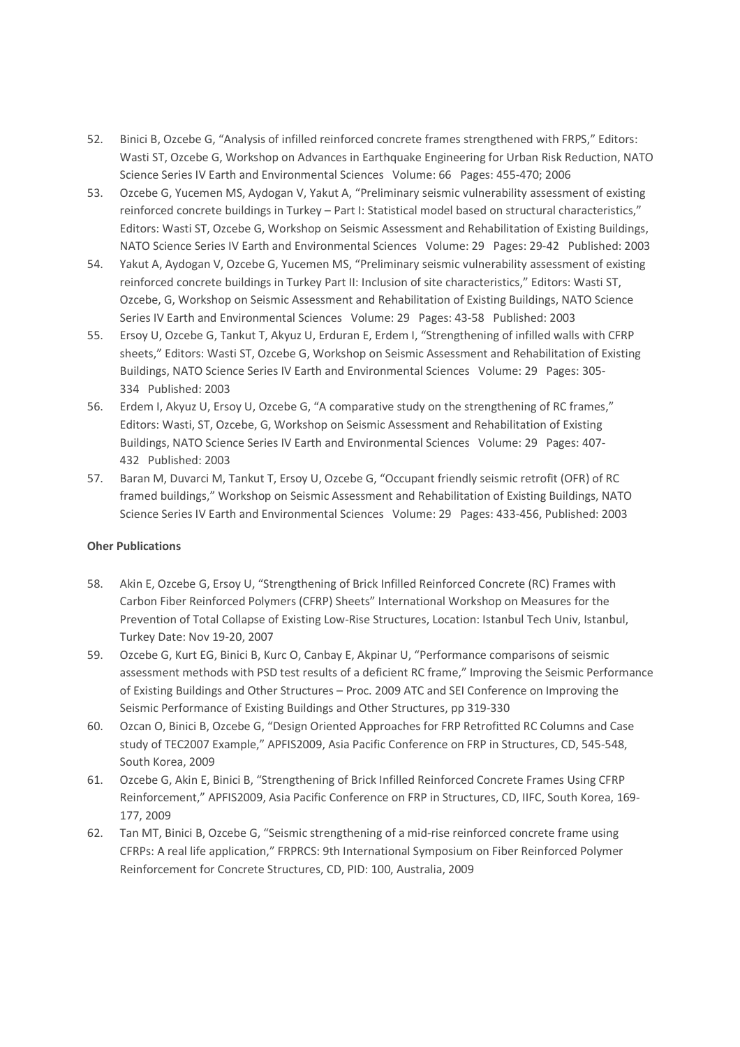- 52. Binici B, Ozcebe G, "Analysis of infilled reinforced concrete frames strengthened with FRPS," Editors: Wasti ST, Ozcebe G, Workshop on Advances in Earthquake Engineering for Urban Risk Reduction, NATO Science Series IV Earth and Environmental Sciences Volume: 66 Pages: 455-470; 2006
- 53. Ozcebe G, Yucemen MS, Aydogan V, Yakut A, "Preliminary seismic vulnerability assessment of existing reinforced concrete buildings in Turkey – Part I: Statistical model based on structural characteristics," Editors: Wasti ST, Ozcebe G, Workshop on Seismic Assessment and Rehabilitation of Existing Buildings, NATO Science Series IV Earth and Environmental Sciences Volume: 29 Pages: 29-42 Published: 2003
- 54. Yakut A, Aydogan V, Ozcebe G, Yucemen MS, "Preliminary seismic vulnerability assessment of existing reinforced concrete buildings in Turkey Part II: Inclusion of site characteristics," Editors: Wasti ST, Ozcebe, G, Workshop on Seismic Assessment and Rehabilitation of Existing Buildings, NATO Science Series IV Earth and Environmental Sciences Volume: 29 Pages: 43-58 Published: 2003
- 55. Ersoy U, Ozcebe G, Tankut T, Akyuz U, Erduran E, Erdem I, "Strengthening of infilled walls with CFRP sheets," Editors: Wasti ST, Ozcebe G, Workshop on Seismic Assessment and Rehabilitation of Existing Buildings, NATO Science Series IV Earth and Environmental Sciences Volume: 29 Pages: 305- 334 Published: 2003
- 56. Erdem I, Akyuz U, Ersoy U, Ozcebe G, "A comparative study on the strengthening of RC frames," Editors: Wasti, ST, Ozcebe, G, Workshop on Seismic Assessment and Rehabilitation of Existing Buildings, NATO Science Series IV Earth and Environmental Sciences Volume: 29 Pages: 407- 432 Published: 2003
- 57. Baran M, Duvarci M, Tankut T, Ersoy U, Ozcebe G, "Occupant friendly seismic retrofit (OFR) of RC framed buildings," Workshop on Seismic Assessment and Rehabilitation of Existing Buildings, NATO Science Series IV Earth and Environmental Sciences Volume: 29 Pages: 433-456, Published: 2003

## **Oher Publications**

- 58. Akin E, Ozcebe G, Ersoy U, "Strengthening of Brick Infilled Reinforced Concrete (RC) Frames with Carbon Fiber Reinforced Polymers (CFRP) Sheets" International Workshop on Measures for the Prevention of Total Collapse of Existing Low-Rise Structures, Location: Istanbul Tech Univ, Istanbul, Turkey Date: Nov 19-20, 2007
- 59. Ozcebe G, Kurt EG, Binici B, Kurc O, Canbay E, Akpinar U, "Performance comparisons of seismic assessment methods with PSD test results of a deficient RC frame," Improving the Seismic Performance of Existing Buildings and Other Structures – Proc. 2009 ATC and SEI Conference on Improving the Seismic Performance of Existing Buildings and Other Structures, pp 319-330
- 60. Ozcan O, Binici B, Ozcebe G, "Design Oriented Approaches for FRP Retrofitted RC Columns and Case study of TEC2007 Example," APFIS2009, Asia Pacific Conference on FRP in Structures, CD, 545-548, South Korea, 2009
- 61. Ozcebe G, Akin E, Binici B, "Strengthening of Brick Infilled Reinforced Concrete Frames Using CFRP Reinforcement," APFIS2009, Asia Pacific Conference on FRP in Structures, CD, IIFC, South Korea, 169- 177, 2009
- 62. Tan MT, Binici B, Ozcebe G, "Seismic strengthening of a mid-rise reinforced concrete frame using CFRPs: A real life application," FRPRCS: 9th International Symposium on Fiber Reinforced Polymer Reinforcement for Concrete Structures, CD, PID: 100, Australia, 2009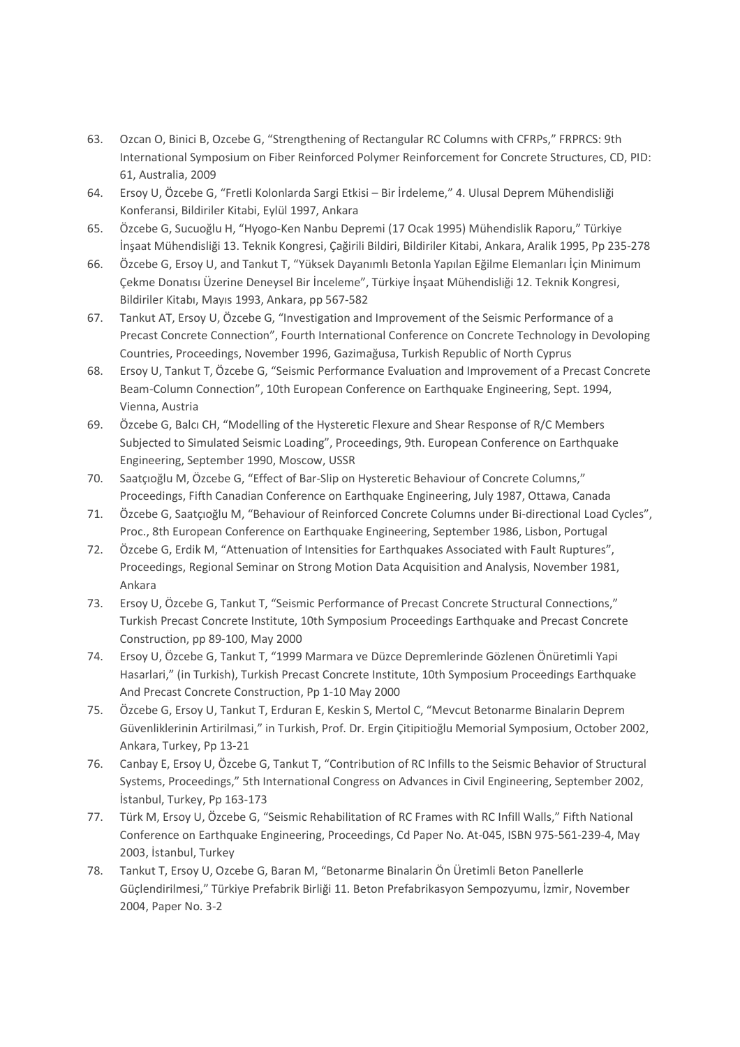- 63. Ozcan O, Binici B, Ozcebe G, "Strengthening of Rectangular RC Columns with CFRPs," FRPRCS: 9th International Symposium on Fiber Reinforced Polymer Reinforcement for Concrete Structures, CD, PID: 61, Australia, 2009
- 64. Ersoy U, Özcebe G, "Fretli Kolonlarda Sargi Etkisi Bir İrdeleme," 4. Ulusal Deprem Mühendisliği Konferansi, Bildiriler Kitabi, Eylül 1997, Ankara
- 65. Özcebe G, Sucuoğlu H, "Hyogo-Ken Nanbu Depremi (17 Ocak 1995) Mühendislik Raporu," Türkiye İnşaat Mühendisliği 13. Teknik Kongresi, Çağirili Bildiri, Bildiriler Kitabi, Ankara, Aralik 1995, Pp 235-278
- 66. Özcebe G, Ersoy U, and Tankut T, "Yüksek Dayanımlı Betonla Yapılan Eğilme Elemanları İçin Minimum Çekme Donatısı Üzerine Deneysel Bir İnceleme", Türkiye İnşaat Mühendisliği 12. Teknik Kongresi, Bildiriler Kitabı, Mayıs 1993, Ankara, pp 567-582
- 67. Tankut AT, Ersoy U, Özcebe G, "Investigation and Improvement of the Seismic Performance of a Precast Concrete Connection", Fourth International Conference on Concrete Technology in Devoloping Countries, Proceedings, November 1996, Gazimağusa, Turkish Republic of North Cyprus
- 68. Ersoy U, Tankut T, Özcebe G, "Seismic Performance Evaluation and Improvement of a Precast Concrete Beam-Column Connection", 10th European Conference on Earthquake Engineering, Sept. 1994, Vienna, Austria
- 69. Özcebe G, Balcı CH, "Modelling of the Hysteretic Flexure and Shear Response of R/C Members Subjected to Simulated Seismic Loading", Proceedings, 9th. European Conference on Earthquake Engineering, September 1990, Moscow, USSR
- 70. Saatçıoğlu M, Özcebe G, "Effect of Bar-Slip on Hysteretic Behaviour of Concrete Columns," Proceedings, Fifth Canadian Conference on Earthquake Engineering, July 1987, Ottawa, Canada
- 71. Özcebe G, Saatçıoğlu M, "Behaviour of Reinforced Concrete Columns under Bi-directional Load Cycles", Proc., 8th European Conference on Earthquake Engineering, September 1986, Lisbon, Portugal
- 72. Özcebe G, Erdik M, "Attenuation of Intensities for Earthquakes Associated with Fault Ruptures", Proceedings, Regional Seminar on Strong Motion Data Acquisition and Analysis, November 1981, Ankara
- 73. Ersoy U, Özcebe G, Tankut T, "Seismic Performance of Precast Concrete Structural Connections," Turkish Precast Concrete Institute, 10th Symposium Proceedings Earthquake and Precast Concrete Construction, pp 89-100, May 2000
- 74. Ersoy U, Özcebe G, Tankut T, "1999 Marmara ve Düzce Depremlerinde Gözlenen Önüretimli Yapi Hasarlari," (in Turkish), Turkish Precast Concrete Institute, 10th Symposium Proceedings Earthquake And Precast Concrete Construction, Pp 1-10 May 2000
- 75. Özcebe G, Ersoy U, Tankut T, Erduran E, Keskin S, Mertol C, "Mevcut Betonarme Binalarin Deprem Güvenliklerinin Artirilmasi," in Turkish, Prof. Dr. Ergin Çitipitioğlu Memorial Symposium, October 2002, Ankara, Turkey, Pp 13-21
- 76. Canbay E, Ersoy U, Özcebe G, Tankut T, "Contribution of RC Infills to the Seismic Behavior of Structural Systems, Proceedings," 5th International Congress on Advances in Civil Engineering, September 2002, İstanbul, Turkey, Pp 163-173
- 77. Türk M, Ersoy U, Özcebe G, "Seismic Rehabilitation of RC Frames with RC Infill Walls," Fifth National Conference on Earthquake Engineering, Proceedings, Cd Paper No. At-045, ISBN 975-561-239-4, May 2003, İstanbul, Turkey
- 78. Tankut T, Ersoy U, Ozcebe G, Baran M, "Betonarme Binalarin Ön Üretimli Beton Panellerle Güçlendirilmesi," Türkiye Prefabrik Birliği 11. Beton Prefabrikasyon Sempozyumu, İzmir, November 2004, Paper No. 3-2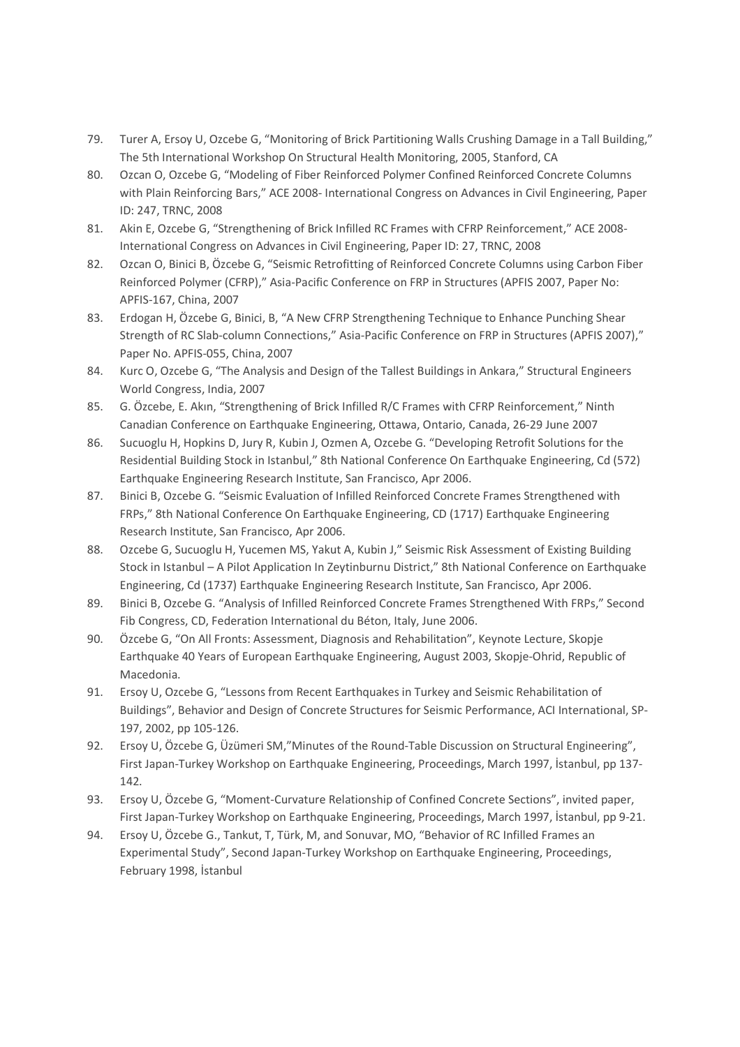- 79. Turer A, Ersoy U, Ozcebe G, "Monitoring of Brick Partitioning Walls Crushing Damage in a Tall Building," The 5th International Workshop On Structural Health Monitoring, 2005, Stanford, CA
- 80. Ozcan O, Ozcebe G, "Modeling of Fiber Reinforced Polymer Confined Reinforced Concrete Columns with Plain Reinforcing Bars," ACE 2008- International Congress on Advances in Civil Engineering, Paper ID: 247, TRNC, 2008
- 81. Akin E, Ozcebe G, "Strengthening of Brick Infilled RC Frames with CFRP Reinforcement," ACE 2008- International Congress on Advances in Civil Engineering, Paper ID: 27, TRNC, 2008
- 82. Ozcan O, Binici B, Özcebe G, "Seismic Retrofitting of Reinforced Concrete Columns using Carbon Fiber Reinforced Polymer (CFRP)," Asia-Pacific Conference on FRP in Structures (APFIS 2007, Paper No: APFIS-167, China, 2007
- 83. Erdogan H, Özcebe G, Binici, B, "A New CFRP Strengthening Technique to Enhance Punching Shear Strength of RC Slab-column Connections," Asia-Pacific Conference on FRP in Structures (APFIS 2007)," Paper No. APFIS-055, China, 2007
- 84. Kurc O, Ozcebe G, "The Analysis and Design of the Tallest Buildings in Ankara," Structural Engineers World Congress, India, 2007
- 85. G. Özcebe, E. Akın, "Strengthening of Brick Infilled R/C Frames with CFRP Reinforcement," Ninth Canadian Conference on Earthquake Engineering, Ottawa, Ontario, Canada, 26-29 June 2007
- 86. Sucuoglu H, Hopkins D, Jury R, Kubin J, Ozmen A, Ozcebe G. "Developing Retrofit Solutions for the Residential Building Stock in Istanbul," 8th National Conference On Earthquake Engineering, Cd (572) Earthquake Engineering Research Institute, San Francisco, Apr 2006.
- 87. Binici B, Ozcebe G. "Seismic Evaluation of Infilled Reinforced Concrete Frames Strengthened with FRPs," 8th National Conference On Earthquake Engineering, CD (1717) Earthquake Engineering Research Institute, San Francisco, Apr 2006.
- 88. Ozcebe G, Sucuoglu H, Yucemen MS, Yakut A, Kubin J," Seismic Risk Assessment of Existing Building Stock in Istanbul – A Pilot Application In Zeytinburnu District," 8th National Conference on Earthquake Engineering, Cd (1737) Earthquake Engineering Research Institute, San Francisco, Apr 2006.
- 89. Binici B, Ozcebe G. "Analysis of Infilled Reinforced Concrete Frames Strengthened With FRPs," Second Fib Congress, CD, Federation International du Béton, Italy, June 2006.
- 90. Özcebe G, "On All Fronts: Assessment, Diagnosis and Rehabilitation", Keynote Lecture, Skopje Earthquake 40 Years of European Earthquake Engineering, August 2003, Skopje-Ohrid, Republic of Macedonia.
- 91. Ersoy U, Ozcebe G, "Lessons from Recent Earthquakes in Turkey and Seismic Rehabilitation of Buildings", Behavior and Design of Concrete Structures for Seismic Performance, ACI International, SP-197, 2002, pp 105-126.
- 92. Ersoy U, Özcebe G, Üzümeri SM,"Minutes of the Round-Table Discussion on Structural Engineering", First Japan-Turkey Workshop on Earthquake Engineering, Proceedings, March 1997, İstanbul, pp 137- 142.
- 93. Ersoy U, Özcebe G, "Moment-Curvature Relationship of Confined Concrete Sections", invited paper, First Japan-Turkey Workshop on Earthquake Engineering, Proceedings, March 1997, İstanbul, pp 9-21.
- 94. Ersoy U, Özcebe G., Tankut, T, Türk, M, and Sonuvar, MO, "Behavior of RC Infilled Frames an Experimental Study", Second Japan-Turkey Workshop on Earthquake Engineering, Proceedings, February 1998, İstanbul